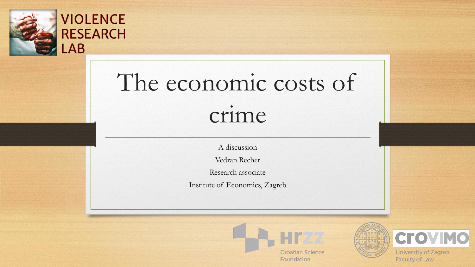

**VIOLENCE** 

**RESEARCH** 

 $\overline{\mathsf{AB}}$ 

# The economic costs of crime

A discussion

Vedran Recher

Research associate

Institute of Economics, Zagreb



Foundation





**University of Zagreb Faculty of Law**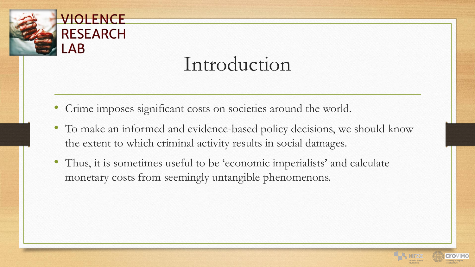

## Introduction

- Crime imposes significant costs on societies around the world.
- To make an informed and evidence-based policy decisions, we should know the extent to which criminal activity results in social damages.
- Thus, it is sometimes useful to be 'economic imperialists' and calculate monetary costs from seemingly untangible phenomenons.

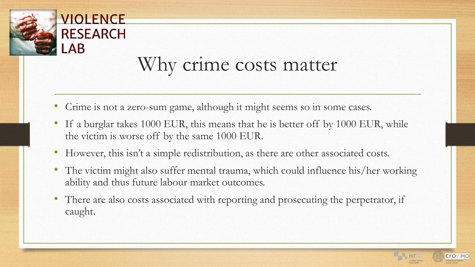

 $AB$ 

#### Why crime costs matter

- Crime is not a zero-sum game, although it might seems so in some cases.
- If a burglar takes 1000 EUR, this means that he is better off by 1000 EUR, while the victim is worse off by the same 1000 EUR.
- However, this isn't a simple redistribution, as there are other associated costs.
- The victim might also suffer mental trauma, which could influence his/her working ability and thus future labour market outcomes.
- There are also costs associated with reporting and prosecuting the perpetrator, if caught.

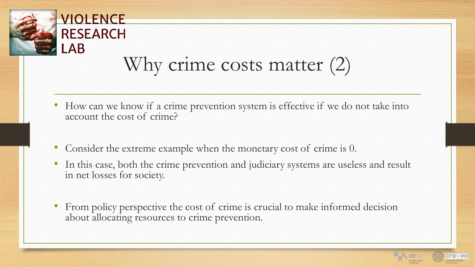

**VIOLENCE** 

**RESEARCH** 

 $AB$ 

# Why crime costs matter (2)

- How can we know if a crime prevention system is effective if we do not take into account the cost of crime?
- Consider the extreme example when the monetary cost of crime is 0.
- In this case, both the crime prevention and judiciary systems are useless and result in net losses for society.
- From policy perspective the cost of crime is crucial to make informed decision about allocating resources to crime prevention.

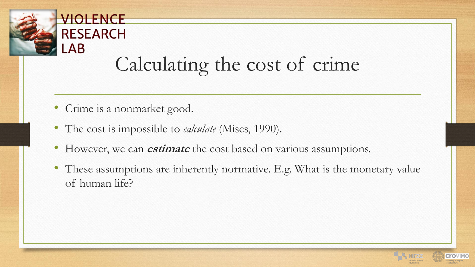

# Calculating the cost of crime

• Crime is a nonmarket good.

VIOLENCE

**RESEARCH** 

 $AB$ 

- The cost is impossible to *calculate* (Mises, 1990).
- However, we can **estimate** the cost based on various assumptions.
- These assumptions are inherently normative. E.g. What is the monetary value of human life?

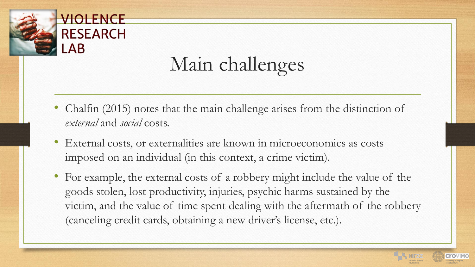

# Main challenges

- Chalfin (2015) notes that the main challenge arises from the distinction of *external* and *social* costs.
- External costs, or externalities are known in microeconomics as costs imposed on an individual (in this context, a crime victim).
- For example, the external costs of a robbery might include the value of the goods stolen, lost productivity, injuries, psychic harms sustained by the victim, and the value of time spent dealing with the aftermath of the robbery (canceling credit cards, obtaining a new driver's license, etc.).

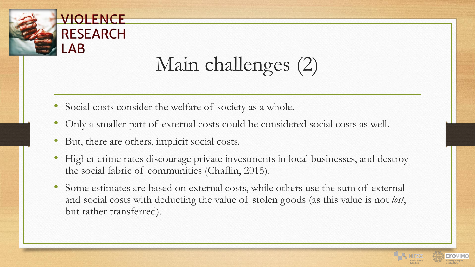

Main challenges (2)

- Social costs consider the welfare of society as a whole.
- Only a smaller part of external costs could be considered social costs as well.
- But, there are others, implicit social costs.
- Higher crime rates discourage private investments in local businesses, and destroy the social fabric of communities (Chaflin, 2015).
- Some estimates are based on external costs, while others use the sum of external and social costs with deducting the value of stolen goods (as this value is not *lost*, but rather transferred).

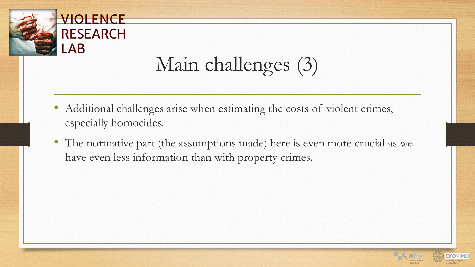

# Main challenges (3)

- Additional challenges arise when estimating the costs of violent crimes, especially homocides.
- The normative part (the assumptions made) here is even more crucial as we have even less information than with property crimes.

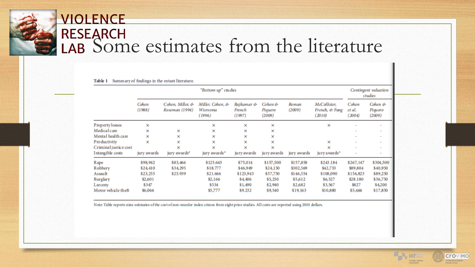## **VIOLENCE** RESEARCH<br>LAB Some estimates from the literature

|                       | "Bottom up" studies |                                    |                                               |                                |                              |                 |                                          | Contingent valuation<br>studies |                              |
|-----------------------|---------------------|------------------------------------|-----------------------------------------------|--------------------------------|------------------------------|-----------------|------------------------------------------|---------------------------------|------------------------------|
|                       | Cohen<br>(1988)     | Cohen, Miller, &<br>Roseman (1994) | Miller, Cohen, &<br><b>Wiersema</b><br>(1996) | Rajkumar &<br>French<br>(1997) | Cohen &<br>Piquero<br>(2009) | Roman<br>(2009) | McCollister,<br>French, & Fang<br>(2010) | Cohen<br>et al.<br>(2004)       | Cohen &<br>Piquero<br>(2009) |
| Property losses       | ×                   |                                    | ×                                             | ×                              | ×                            |                 | ×                                        |                                 | ٠                            |
| Medical care          | ×                   | ×                                  | ×                                             | ×                              | ×                            |                 |                                          | ۰                               | $\overline{\phantom{a}}$     |
| Mental health care    | ×                   | ×                                  | ×                                             | ×                              | ×                            |                 |                                          | $\overline{a}$                  | $\overline{\phantom{a}}$     |
| Productivity          | ×                   | ×                                  | ×                                             | ×                              | ×                            |                 | ×                                        | $\overline{a}$                  | $\overline{\phantom{a}}$     |
| Criminal justice cost |                     | ×                                  | ×                                             | ×                              | ×                            |                 | ×                                        | $\overline{a}$                  | $\overline{\phantom{a}}$     |
| Intangible costs      | jury awards         | jury awards*                       | jury awards*                                  | jury awards                    | ju ry awards                 | jury awards     | jury awards*                             | $\overline{\phantom{a}}$        | $\overline{\phantom{a}}$     |
| Rape                  | \$98,942            | \$83,466                           | \$125.663                                     | \$75,014                       | \$157,500                    | \$157,858       | \$243.184                                | \$267,147                       | \$304,500                    |
| Robbery               | \$24,410            | \$34,295                           | \$18.777                                      | \$46,949                       | \$24,150                     | \$302,569       | \$42,733                                 | \$89,804                        | \$40,950                     |
| <b>Assault</b>        | \$23,255            | \$25,939                           | \$21.666                                      | \$123,943                      | \$57,750                     | \$146,554       | \$108,090                                | \$156,823                       | \$89,250                     |
| <b>Burglary</b>       | \$2,601             |                                    | \$2,166                                       | \$4,406                        | \$5,250                      | \$5,612         | \$6,527                                  | \$28.180                        | \$36,750                     |
| Larceny               | \$347               |                                    | \$534                                         | \$1,490                        | \$2,940                      | \$2,682         | \$3,567                                  | \$827                           | \$4,200                      |
| Motor vehicle theft   | \$6,066             |                                    | \$5,777                                       | \$9.232                        | \$9,540                      | \$19,163        | \$10,880                                 | \$5,466                         | \$17,850                     |

Table 1 Summary of findings in the extant literature.

Note Table reports nine estimates of the cost of non-murder index crimes from eight prior studies. All costs are reported using 2010 dollars.

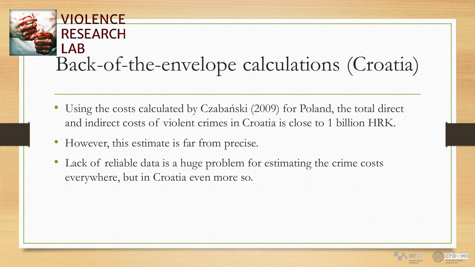#### VIOLENCE **RESEARCH** \_AB Back-of-the-envelope calculations (Croatia)

- Using the costs calculated by Czabański (2009) for Poland, the total direct and indirect costs of violent crimes in Croatia is close to 1 billion HRK.
- However, this estimate is far from precise.
- Lack of reliable data is a huge problem for estimating the crime costs everywhere, but in Croatia even more so.

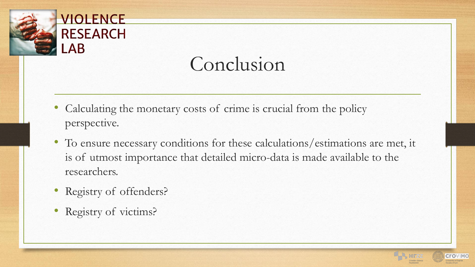

## Conclusion

- Calculating the monetary costs of crime is crucial from the policy perspective.
- To ensure necessary conditions for these calculations/estimations are met, it is of utmost importance that detailed micro-data is made available to the researchers.
- Registry of offenders?
- Registry of victims?